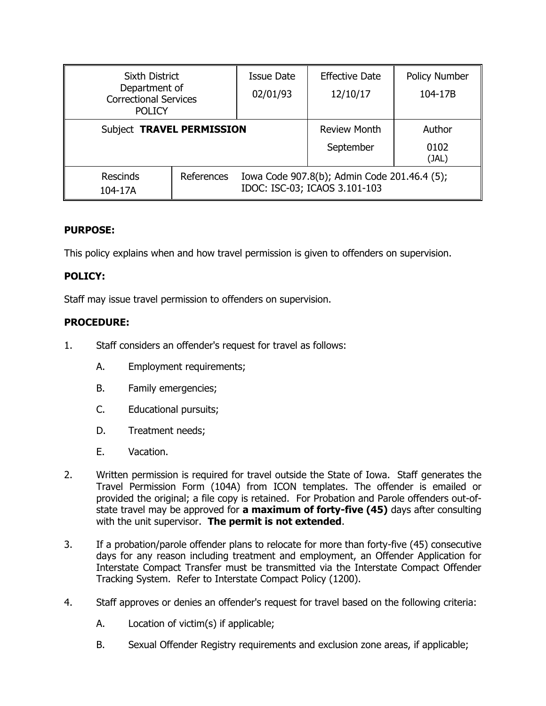| <b>Sixth District</b><br>Department of<br><b>Correctional Services</b><br><b>POLICY</b> |            | Issue Date<br>02/01/93                                                        | <b>Effective Date</b><br>12/10/17 | <b>Policy Number</b><br>104-17B |
|-----------------------------------------------------------------------------------------|------------|-------------------------------------------------------------------------------|-----------------------------------|---------------------------------|
| Subject TRAVEL PERMISSION                                                               |            |                                                                               | <b>Review Month</b><br>September  | Author<br>0102<br>(JAL)         |
| <b>Rescinds</b><br>104-17A                                                              | References | Iowa Code 907.8(b); Admin Code 201.46.4 (5);<br>IDOC: ISC-03; ICAOS 3.101-103 |                                   |                                 |

## **PURPOSE:**

This policy explains when and how travel permission is given to offenders on supervision.

# **POLICY:**

Staff may issue travel permission to offenders on supervision.

## **PROCEDURE:**

- 1. Staff considers an offender's request for travel as follows:
	- A. Employment requirements;
	- B. Family emergencies;
	- C. Educational pursuits;
	- D. Treatment needs;
	- E. Vacation.
- 2. Written permission is required for travel outside the State of Iowa. Staff generates the Travel Permission Form (104A) from ICON templates. The offender is emailed or provided the original; a file copy is retained. For Probation and Parole offenders out-ofstate travel may be approved for **a maximum of forty-five (45)** days after consulting with the unit supervisor. **The permit is not extended**.
- 3. If a probation/parole offender plans to relocate for more than forty-five (45) consecutive days for any reason including treatment and employment, an Offender Application for Interstate Compact Transfer must be transmitted via the Interstate Compact Offender Tracking System. Refer to Interstate Compact Policy (1200).
- 4. Staff approves or denies an offender's request for travel based on the following criteria:
	- A. Location of victim(s) if applicable;
	- B. Sexual Offender Registry requirements and exclusion zone areas, if applicable;